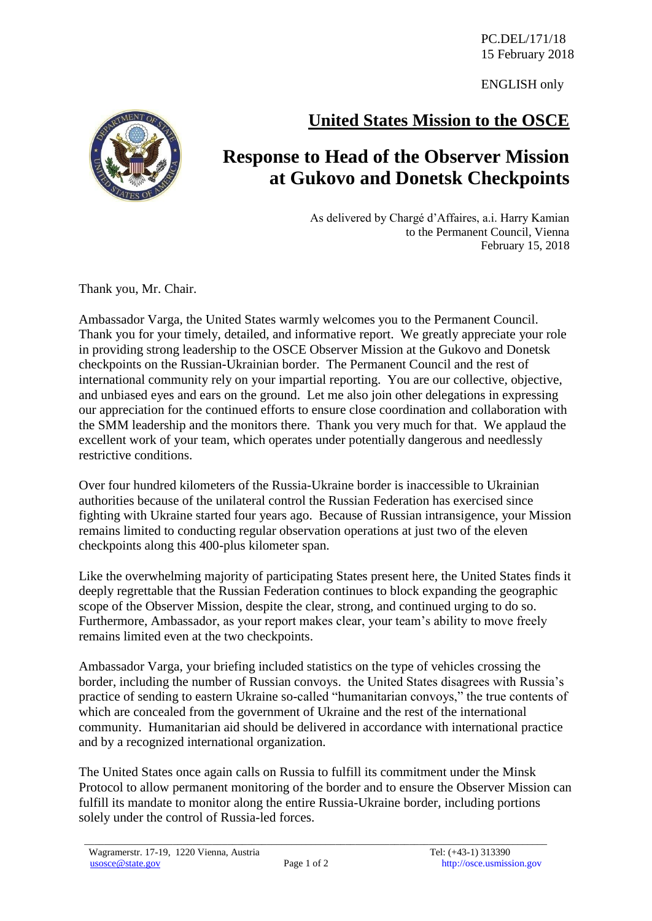ENGLISH only

## **United States Mission to the OSCE**



As delivered by Chargé d'Affaires, a.i. Harry Kamian to the Permanent Council, Vienna February 15, 2018

Thank you, Mr. Chair.

Ambassador Varga, the United States warmly welcomes you to the Permanent Council. Thank you for your timely, detailed, and informative report. We greatly appreciate your role in providing strong leadership to the OSCE Observer Mission at the Gukovo and Donetsk checkpoints on the Russian-Ukrainian border. The Permanent Council and the rest of international community rely on your impartial reporting. You are our collective, objective, and unbiased eyes and ears on the ground. Let me also join other delegations in expressing our appreciation for the continued efforts to ensure close coordination and collaboration with the SMM leadership and the monitors there. Thank you very much for that. We applaud the excellent work of your team, which operates under potentially dangerous and needlessly restrictive conditions.

Over four hundred kilometers of the Russia-Ukraine border is inaccessible to Ukrainian authorities because of the unilateral control the Russian Federation has exercised since fighting with Ukraine started four years ago. Because of Russian intransigence, your Mission remains limited to conducting regular observation operations at just two of the eleven checkpoints along this 400-plus kilometer span.

Like the overwhelming majority of participating States present here, the United States finds it deeply regrettable that the Russian Federation continues to block expanding the geographic scope of the Observer Mission, despite the clear, strong, and continued urging to do so. Furthermore, Ambassador, as your report makes clear, your team's ability to move freely remains limited even at the two checkpoints.

Ambassador Varga, your briefing included statistics on the type of vehicles crossing the border, including the number of Russian convoys. the United States disagrees with Russia's practice of sending to eastern Ukraine so-called "humanitarian convoys," the true contents of which are concealed from the government of Ukraine and the rest of the international community. Humanitarian aid should be delivered in accordance with international practice and by a recognized international organization.

The United States once again calls on Russia to fulfill its commitment under the Minsk Protocol to allow permanent monitoring of the border and to ensure the Observer Mission can fulfill its mandate to monitor along the entire Russia-Ukraine border, including portions solely under the control of Russia-led forces.

\_\_\_\_\_\_\_\_\_\_\_\_\_\_\_\_\_\_\_\_\_\_\_\_\_\_\_\_\_\_\_\_\_\_\_\_\_\_\_\_\_\_\_\_\_\_\_\_\_\_\_\_\_\_\_\_\_\_\_\_\_\_\_\_\_\_\_\_\_\_\_\_\_\_\_\_\_\_\_\_\_\_\_\_\_\_\_\_\_\_\_\_\_\_